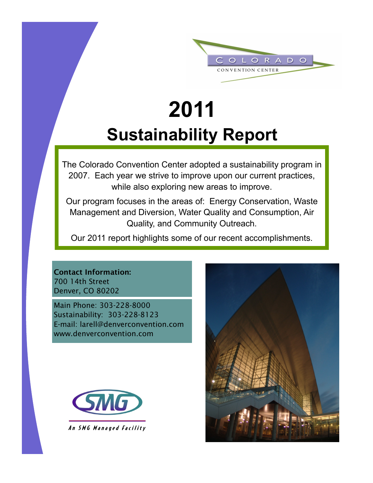

# **2011 Sustainability Report**

The Colorado Convention Center adopted a sustainability program in 2007. Each year we strive to improve upon our current practices, while also exploring new areas to improve.

Our program focuses in the areas of: Energy Conservation, Waste Management and Diversion, Water Quality and Consumption, Air Quality, and Community Outreach.

Our 2011 report highlights some of our recent accomplishments.

**Contact Information:** 700 14th Street Denver, CO 80202

Main Phone: 303-228-8000 Sustainability: 303-228-8123 E-mail: larell@denverconvention.com www.denverconvention.com



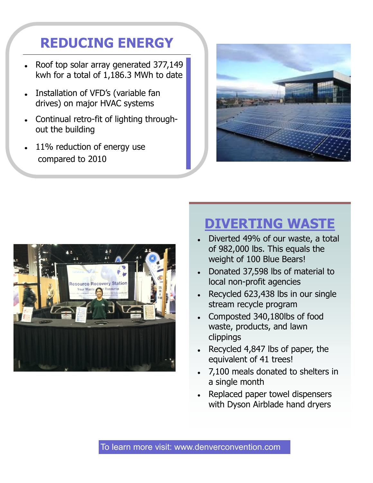### **REDUCING ENERGY**

- Roof top solar array generated 377,149 kwh for a total of 1,186.3 MWh to date
- Installation of VFD's (variable fan  $\bullet$ drives) on major HVAC systems
- Continual retro-fit of lighting throughout the building
- 11% reduction of energy use compared to 2010





#### **DIVERTING WASTE**

- Diverted 49% of our waste, a total of 982,000 lbs. This equals the weight of 100 Blue Bears!
- Donated 37,598 lbs of material to local non-profit agencies
- Recycled 623,438 lbs in our single stream recycle program
- Composted 340,180lbs of food waste, products, and lawn clippings
- Recycled 4,847 lbs of paper, the equivalent of 41 trees!
- 7,100 meals donated to shelters in a single month
- Replaced paper towel dispensers with Dyson Airblade hand dryers